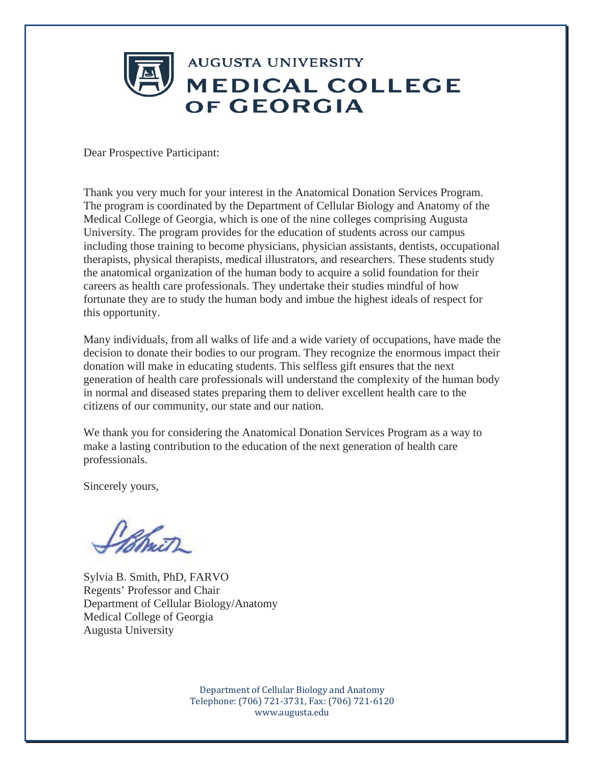

Dear Prospective Participant:

Thank you very much for your interest in the Anatomical Donation Services Program. The program is coordinated by the Department of Cellular Biology and Anatomy of the Medical College of Georgia, which is one of the nine colleges comprising Augusta University. The program provides for the education of students across our campus including those training to become physicians, physician assistants, dentists, occupational therapists, physical therapists, medical illustrators, and researchers. These students study the anatomical organization of the human body to acquire a solid foundation for their careers as health care professionals. They undertake their studies mindful of how fortunate they are to study the human body and imbue the highest ideals of respect for this opportunity.

Many individuals, from all walks of life and a wide variety of occupations, have made the decision to donate their bodies to our program. They recognize the enormous impact their donation will make in educating students. This selfless gift ensures that the next generation of health care professionals will understand the complexity of the human body in normal and diseased states preparing them to deliver excellent health care to the citizens of our community, our state and our nation.

We thank you for considering the Anatomical Donation Services Program as a way to make a lasting contribution to the education of the next generation of health care professionals.

Sincerely yours,

n<br>Wimit

Sylvia B. Smith, PhD, FARVO Regents' Professor and Chair Department of Cellular Biology/Anatomy Medical College of Georgia Augusta University

Department of Cellular Biology and Anatomy Telephone: (706) 721-3731, Fax: (706) 721-6120 www.augusta.edu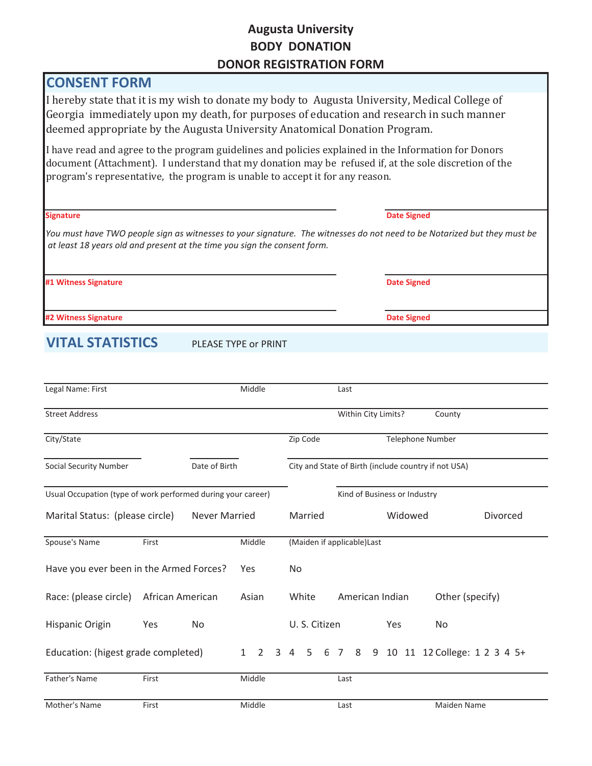### **Augusta University BODY DONATION DONOR REGISTRATION FORM**

## **CONSENT FORM**

I hereby state that it is my wish to donate my body to Augusta University, Medical College of Georgia immediately upon my death, for purposes of education and research in such manner deemed appropriate by the Augusta University Anatomical Donation Program.

I have read and agree to the program guidelines and policies explained in the Information for Donors document (Attachment). I understand that my donation may be refused if, at the sole discretion of the program's representative, the program is unable to accept it for any reason.

| <b>Signature</b>        |                                                                          |                     | <b>Date Signed</b><br>You must have TWO people sign as witnesses to your signature. The witnesses do not need to be Notarized but they must be |  |  |  |
|-------------------------|--------------------------------------------------------------------------|---------------------|------------------------------------------------------------------------------------------------------------------------------------------------|--|--|--|
|                         | at least 18 years old and present at the time you sign the consent form. |                     |                                                                                                                                                |  |  |  |
| #1 Witness Signature    |                                                                          |                     | <b>Date Signed</b>                                                                                                                             |  |  |  |
| #2 Witness Signature    |                                                                          |                     | <b>Date Signed</b>                                                                                                                             |  |  |  |
| <b>VITAL STATISTICS</b> | PLEASE TYPE or PRINT                                                     |                     |                                                                                                                                                |  |  |  |
|                         |                                                                          |                     |                                                                                                                                                |  |  |  |
| Legal Name: First       | Middle                                                                   | Last                |                                                                                                                                                |  |  |  |
| <b>Street Address</b>   |                                                                          | Within City Limits? | County                                                                                                                                         |  |  |  |

| City/State                                                   |                  |    |            |        |         |                                                      | Zip Code                    |         |      |  |  |                              |                 | <b>Telephone Number</b>                        |
|--------------------------------------------------------------|------------------|----|------------|--------|---------|------------------------------------------------------|-----------------------------|---------|------|--|--|------------------------------|-----------------|------------------------------------------------|
| <b>Social Security Number</b><br>Date of Birth               |                  |    |            |        |         | City and State of Birth (include country if not USA) |                             |         |      |  |  |                              |                 |                                                |
| Usual Occupation (type of work performed during your career) |                  |    |            |        |         |                                                      |                             |         |      |  |  | Kind of Business or Industry |                 |                                                |
| Marital Status: (please circle)<br><b>Never Married</b>      |                  |    |            |        | Married |                                                      |                             | Widowed |      |  |  |                              | <b>Divorced</b> |                                                |
| Spouse's Name                                                | First            |    |            | Middle |         |                                                      | (Maiden if applicable) Last |         |      |  |  |                              |                 |                                                |
| Have you ever been in the Armed Forces?                      |                  |    | <b>Yes</b> |        |         | No.                                                  |                             |         |      |  |  |                              |                 |                                                |
| Race: (please circle)                                        | African American |    |            | Asian  |         |                                                      | White                       |         |      |  |  | American Indian              |                 | Other (specify)                                |
| Hispanic Origin                                              | Yes              | No |            |        |         | U.S. Citizen                                         |                             |         |      |  |  | Yes                          |                 | No                                             |
| Education: (higest grade completed)                          |                  |    |            |        |         |                                                      |                             |         |      |  |  |                              |                 | 1 2 3 4 5 6 7 8 9 10 11 12 College: 1 2 3 4 5+ |
| Father's Name                                                | First            |    |            | Middle |         |                                                      |                             |         | Last |  |  |                              |                 |                                                |
| Mother's Name                                                | First            |    |            | Middle |         |                                                      |                             |         | Last |  |  |                              |                 | Maiden Name                                    |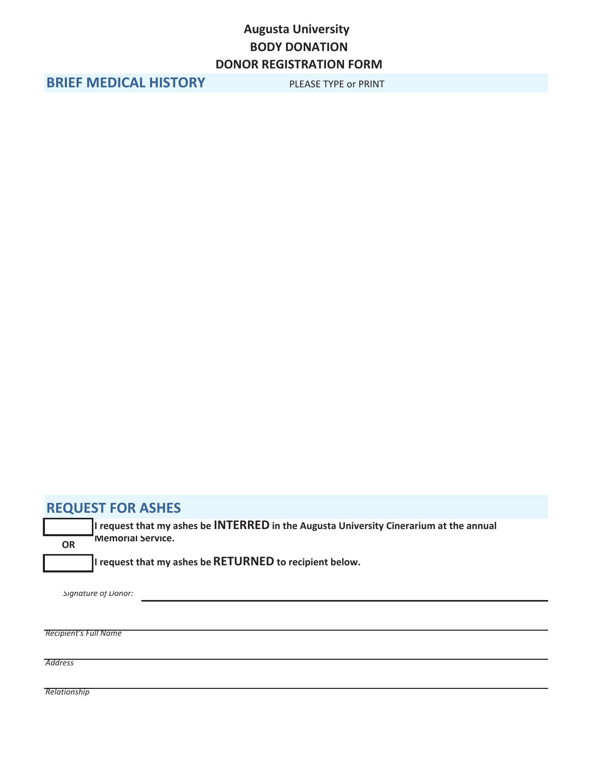## **Augusta University BODY DONATION DONOR REGISTRATION FORM**

**BRIEF MEDICAL HISTORY** PLEASE TYPE or PRINT

### **REQUEST FOR ASHES**

**OR**

**I request that my ashes be INTERRED in the ƵŐƵƐƚĂhŶŝǀĞƌƐŝƚLJ Cinerarium at the annual Memorial Service.**

**I request that my ashes beRETURNED to recipient below.**

*Signature of Donor:*

*Recipient's Full Name*

*Address*

*Relationship*